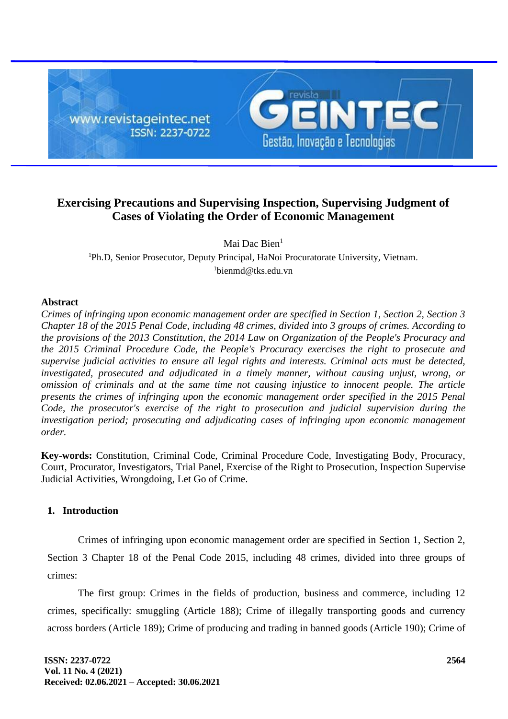

## **Exercising Precautions and Supervising Inspection, Supervising Judgment of Cases of Violating the Order of Economic Management**

Mai Dac Bien<sup>1</sup>

<sup>1</sup>Ph.D, Senior Prosecutor, Deputy Principal, HaNoi Procuratorate University, Vietnam. <sup>1</sup>bienmd@tks.edu.vn

## **Abstract**

*Crimes of infringing upon economic management order are specified in Section 1, Section 2, Section 3 Chapter 18 of the 2015 Penal Code, including 48 crimes, divided into 3 groups of crimes. According to the provisions of the 2013 Constitution, the 2014 Law on Organization of the People's Procuracy and the 2015 Criminal Procedure Code, the People's Procuracy exercises the right to prosecute and supervise judicial activities to ensure all legal rights and interests. Criminal acts must be detected, investigated, prosecuted and adjudicated in a timely manner, without causing unjust, wrong, or omission of criminals and at the same time not causing injustice to innocent people. The article presents the crimes of infringing upon the economic management order specified in the 2015 Penal Code, the prosecutor's exercise of the right to prosecution and judicial supervision during the investigation period; prosecuting and adjudicating cases of infringing upon economic management order.*

**Key-words:** Constitution, Criminal Code, Criminal Procedure Code, Investigating Body, Procuracy, Court, Procurator, Investigators, Trial Panel, Exercise of the Right to Prosecution, Inspection Supervise Judicial Activities, Wrongdoing, Let Go of Crime.

## **1. Introduction**

Crimes of infringing upon economic management order are specified in Section 1, Section 2, Section 3 Chapter 18 of the Penal Code 2015, including 48 crimes, divided into three groups of crimes:

The first group: Crimes in the fields of production, business and commerce, including 12 crimes, specifically: smuggling (Article 188); Crime of illegally transporting goods and currency across borders (Article 189); Crime of producing and trading in banned goods (Article 190); Crime of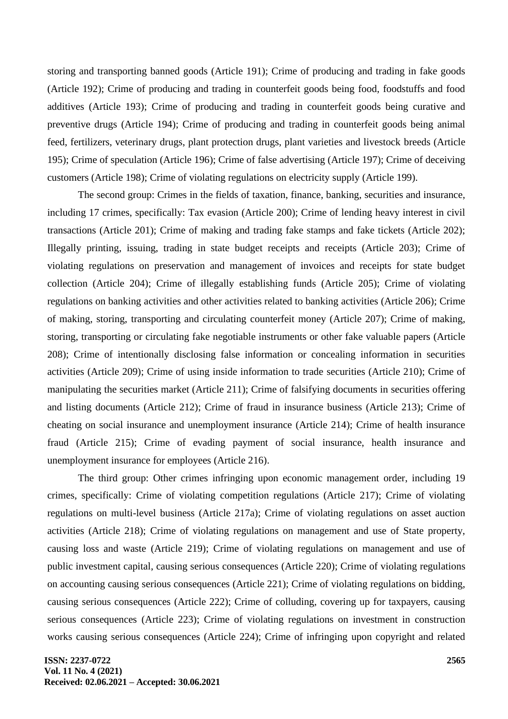storing and transporting banned goods (Article 191); Crime of producing and trading in fake goods (Article 192); Crime of producing and trading in counterfeit goods being food, foodstuffs and food additives (Article 193); Crime of producing and trading in counterfeit goods being curative and preventive drugs (Article 194); Crime of producing and trading in counterfeit goods being animal feed, fertilizers, veterinary drugs, plant protection drugs, plant varieties and livestock breeds (Article 195); Crime of speculation (Article 196); Crime of false advertising (Article 197); Crime of deceiving customers (Article 198); Crime of violating regulations on electricity supply (Article 199).

The second group: Crimes in the fields of taxation, finance, banking, securities and insurance, including 17 crimes, specifically: Tax evasion (Article 200); Crime of lending heavy interest in civil transactions (Article 201); Crime of making and trading fake stamps and fake tickets (Article 202); Illegally printing, issuing, trading in state budget receipts and receipts (Article 203); Crime of violating regulations on preservation and management of invoices and receipts for state budget collection (Article 204); Crime of illegally establishing funds (Article 205); Crime of violating regulations on banking activities and other activities related to banking activities (Article 206); Crime of making, storing, transporting and circulating counterfeit money (Article 207); Crime of making, storing, transporting or circulating fake negotiable instruments or other fake valuable papers (Article 208); Crime of intentionally disclosing false information or concealing information in securities activities (Article 209); Crime of using inside information to trade securities (Article 210); Crime of manipulating the securities market (Article 211); Crime of falsifying documents in securities offering and listing documents (Article 212); Crime of fraud in insurance business (Article 213); Crime of cheating on social insurance and unemployment insurance (Article 214); Crime of health insurance fraud (Article 215); Crime of evading payment of social insurance, health insurance and unemployment insurance for employees (Article 216).

The third group: Other crimes infringing upon economic management order, including 19 crimes, specifically: Crime of violating competition regulations (Article 217); Crime of violating regulations on multi-level business (Article 217a); Crime of violating regulations on asset auction activities (Article 218); Crime of violating regulations on management and use of State property, causing loss and waste (Article 219); Crime of violating regulations on management and use of public investment capital, causing serious consequences (Article 220); Crime of violating regulations on accounting causing serious consequences (Article 221); Crime of violating regulations on bidding, causing serious consequences (Article 222); Crime of colluding, covering up for taxpayers, causing serious consequences (Article 223); Crime of violating regulations on investment in construction works causing serious consequences (Article 224); Crime of infringing upon copyright and related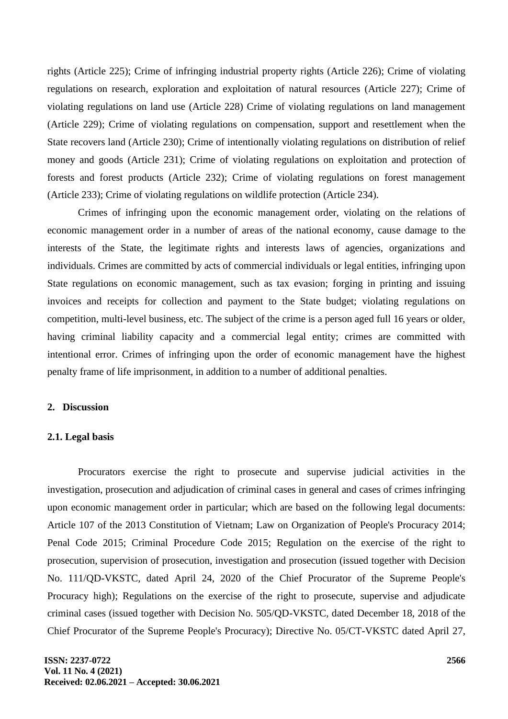rights (Article 225); Crime of infringing industrial property rights (Article 226); Crime of violating regulations on research, exploration and exploitation of natural resources (Article 227); Crime of violating regulations on land use (Article 228) Crime of violating regulations on land management (Article 229); Crime of violating regulations on compensation, support and resettlement when the State recovers land (Article 230); Crime of intentionally violating regulations on distribution of relief money and goods (Article 231); Crime of violating regulations on exploitation and protection of forests and forest products (Article 232); Crime of violating regulations on forest management (Article 233); Crime of violating regulations on wildlife protection (Article 234).

Crimes of infringing upon the economic management order, violating on the relations of economic management order in a number of areas of the national economy, cause damage to the interests of the State, the legitimate rights and interests laws of agencies, organizations and individuals. Crimes are committed by acts of commercial individuals or legal entities, infringing upon State regulations on economic management, such as tax evasion; forging in printing and issuing invoices and receipts for collection and payment to the State budget; violating regulations on competition, multi-level business, etc. The subject of the crime is a person aged full 16 years or older, having criminal liability capacity and a commercial legal entity; crimes are committed with intentional error. Crimes of infringing upon the order of economic management have the highest penalty frame of life imprisonment, in addition to a number of additional penalties.

### **2. Discussion**

#### **2.1. Legal basis**

Procurators exercise the right to prosecute and supervise judicial activities in the investigation, prosecution and adjudication of criminal cases in general and cases of crimes infringing upon economic management order in particular; which are based on the following legal documents: Article 107 of the 2013 Constitution of Vietnam; Law on Organization of People's Procuracy 2014; Penal Code 2015; Criminal Procedure Code 2015; Regulation on the exercise of the right to prosecution, supervision of prosecution, investigation and prosecution (issued together with Decision No. 111/QD-VKSTC, dated April 24, 2020 of the Chief Procurator of the Supreme People's Procuracy high); Regulations on the exercise of the right to prosecute, supervise and adjudicate criminal cases (issued together with Decision No. 505/QD-VKSTC, dated December 18, 2018 of the Chief Procurator of the Supreme People's Procuracy); Directive No. 05/CT-VKSTC dated April 27,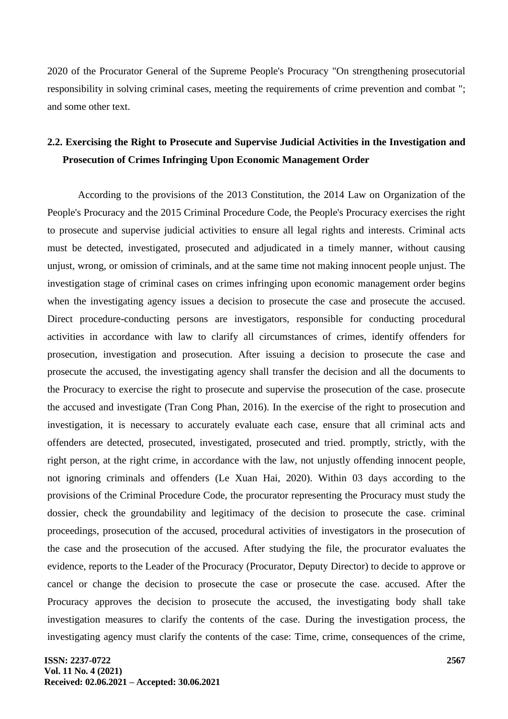2020 of the Procurator General of the Supreme People's Procuracy "On strengthening prosecutorial responsibility in solving criminal cases, meeting the requirements of crime prevention and combat "; and some other text.

# **2.2. Exercising the Right to Prosecute and Supervise Judicial Activities in the Investigation and Prosecution of Crimes Infringing Upon Economic Management Order**

According to the provisions of the 2013 Constitution, the 2014 Law on Organization of the People's Procuracy and the 2015 Criminal Procedure Code, the People's Procuracy exercises the right to prosecute and supervise judicial activities to ensure all legal rights and interests. Criminal acts must be detected, investigated, prosecuted and adjudicated in a timely manner, without causing unjust, wrong, or omission of criminals, and at the same time not making innocent people unjust. The investigation stage of criminal cases on crimes infringing upon economic management order begins when the investigating agency issues a decision to prosecute the case and prosecute the accused. Direct procedure-conducting persons are investigators, responsible for conducting procedural activities in accordance with law to clarify all circumstances of crimes, identify offenders for prosecution, investigation and prosecution. After issuing a decision to prosecute the case and prosecute the accused, the investigating agency shall transfer the decision and all the documents to the Procuracy to exercise the right to prosecute and supervise the prosecution of the case. prosecute the accused and investigate (Tran Cong Phan, 2016). In the exercise of the right to prosecution and investigation, it is necessary to accurately evaluate each case, ensure that all criminal acts and offenders are detected, prosecuted, investigated, prosecuted and tried. promptly, strictly, with the right person, at the right crime, in accordance with the law, not unjustly offending innocent people, not ignoring criminals and offenders (Le Xuan Hai, 2020). Within 03 days according to the provisions of the Criminal Procedure Code, the procurator representing the Procuracy must study the dossier, check the groundability and legitimacy of the decision to prosecute the case. criminal proceedings, prosecution of the accused, procedural activities of investigators in the prosecution of the case and the prosecution of the accused. After studying the file, the procurator evaluates the evidence, reports to the Leader of the Procuracy (Procurator, Deputy Director) to decide to approve or cancel or change the decision to prosecute the case or prosecute the case. accused. After the Procuracy approves the decision to prosecute the accused, the investigating body shall take investigation measures to clarify the contents of the case. During the investigation process, the investigating agency must clarify the contents of the case: Time, crime, consequences of the crime,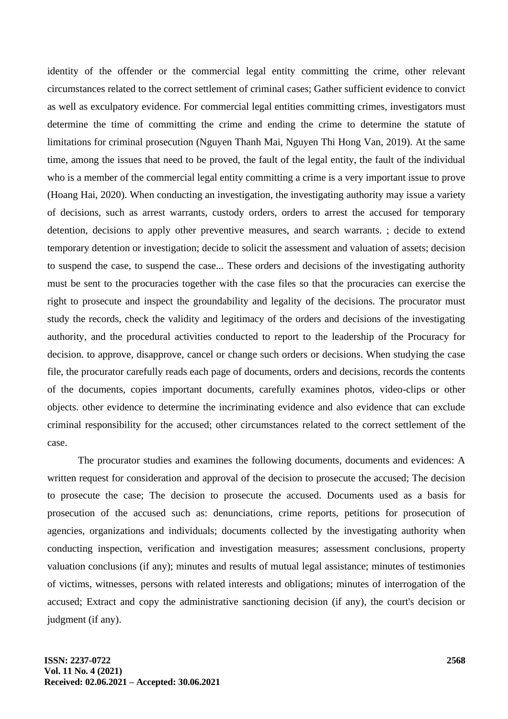identity of the offender or the commercial legal entity committing the crime, other relevant circumstances related to the correct settlement of criminal cases; Gather sufficient evidence to convict as well as exculpatory evidence. For commercial legal entities committing crimes, investigators must determine the time of committing the crime and ending the crime to determine the statute of limitations for criminal prosecution (Nguyen Thanh Mai, Nguyen Thi Hong Van, 2019). At the same time, among the issues that need to be proved, the fault of the legal entity, the fault of the individual who is a member of the commercial legal entity committing a crime is a very important issue to prove (Hoang Hai, 2020). When conducting an investigation, the investigating authority may issue a variety of decisions, such as arrest warrants, custody orders, orders to arrest the accused for temporary detention, decisions to apply other preventive measures, and search warrants. ; decide to extend temporary detention or investigation; decide to solicit the assessment and valuation of assets; decision to suspend the case, to suspend the case... These orders and decisions of the investigating authority must be sent to the procuracies together with the case files so that the procuracies can exercise the right to prosecute and inspect the groundability and legality of the decisions. The procurator must study the records, check the validity and legitimacy of the orders and decisions of the investigating authority, and the procedural activities conducted to report to the leadership of the Procuracy for decision. to approve, disapprove, cancel or change such orders or decisions. When studying the case file, the procurator carefully reads each page of documents, orders and decisions, records the contents of the documents, copies important documents, carefully examines photos, video-clips or other objects. other evidence to determine the incriminating evidence and also evidence that can exclude criminal responsibility for the accused; other circumstances related to the correct settlement of the case.

The procurator studies and examines the following documents, documents and evidences: A written request for consideration and approval of the decision to prosecute the accused; The decision to prosecute the case; The decision to prosecute the accused. Documents used as a basis for prosecution of the accused such as: denunciations, crime reports, petitions for prosecution of agencies, organizations and individuals; documents collected by the investigating authority when conducting inspection, verification and investigation measures; assessment conclusions, property valuation conclusions (if any); minutes and results of mutual legal assistance; minutes of testimonies of victims, witnesses, persons with related interests and obligations; minutes of interrogation of the accused; Extract and copy the administrative sanctioning decision (if any), the court's decision or judgment (if any).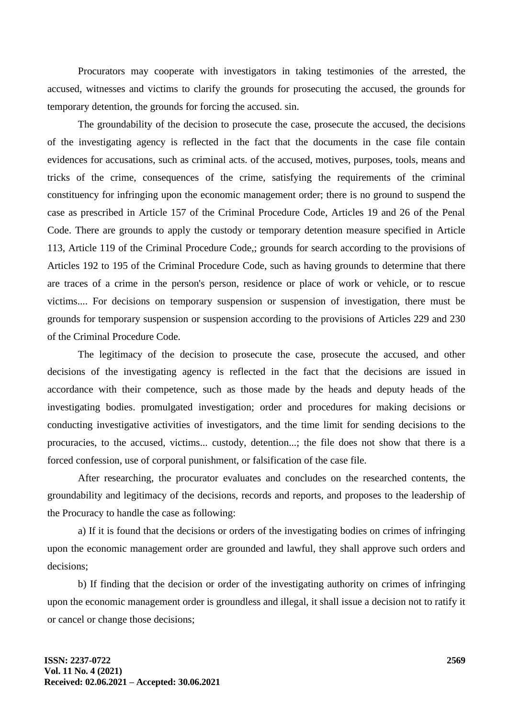Procurators may cooperate with investigators in taking testimonies of the arrested, the accused, witnesses and victims to clarify the grounds for prosecuting the accused, the grounds for temporary detention, the grounds for forcing the accused. sin.

The groundability of the decision to prosecute the case, prosecute the accused, the decisions of the investigating agency is reflected in the fact that the documents in the case file contain evidences for accusations, such as criminal acts. of the accused, motives, purposes, tools, means and tricks of the crime, consequences of the crime, satisfying the requirements of the criminal constituency for infringing upon the economic management order; there is no ground to suspend the case as prescribed in Article 157 of the Criminal Procedure Code, Articles 19 and 26 of the Penal Code. There are grounds to apply the custody or temporary detention measure specified in Article 113, Article 119 of the Criminal Procedure Code,; grounds for search according to the provisions of Articles 192 to 195 of the Criminal Procedure Code, such as having grounds to determine that there are traces of a crime in the person's person, residence or place of work or vehicle, or to rescue victims.... For decisions on temporary suspension or suspension of investigation, there must be grounds for temporary suspension or suspension according to the provisions of Articles 229 and 230 of the Criminal Procedure Code.

The legitimacy of the decision to prosecute the case, prosecute the accused, and other decisions of the investigating agency is reflected in the fact that the decisions are issued in accordance with their competence, such as those made by the heads and deputy heads of the investigating bodies. promulgated investigation; order and procedures for making decisions or conducting investigative activities of investigators, and the time limit for sending decisions to the procuracies, to the accused, victims... custody, detention...; the file does not show that there is a forced confession, use of corporal punishment, or falsification of the case file.

After researching, the procurator evaluates and concludes on the researched contents, the groundability and legitimacy of the decisions, records and reports, and proposes to the leadership of the Procuracy to handle the case as following:

a) If it is found that the decisions or orders of the investigating bodies on crimes of infringing upon the economic management order are grounded and lawful, they shall approve such orders and decisions;

b) If finding that the decision or order of the investigating authority on crimes of infringing upon the economic management order is groundless and illegal, it shall issue a decision not to ratify it or cancel or change those decisions;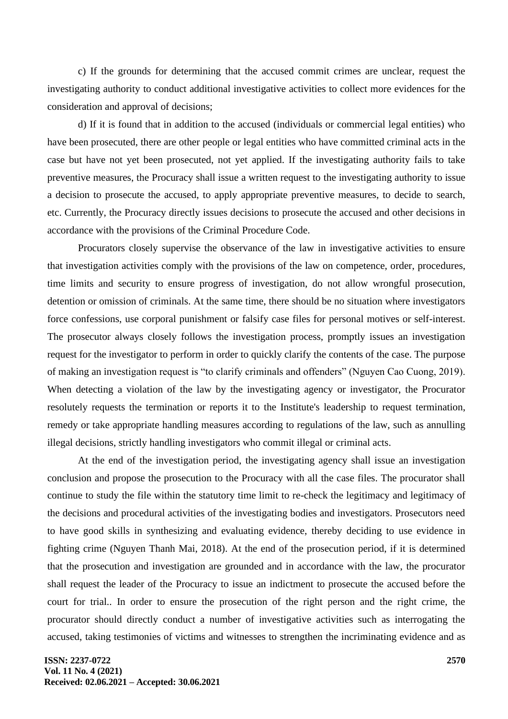c) If the grounds for determining that the accused commit crimes are unclear, request the investigating authority to conduct additional investigative activities to collect more evidences for the consideration and approval of decisions;

d) If it is found that in addition to the accused (individuals or commercial legal entities) who have been prosecuted, there are other people or legal entities who have committed criminal acts in the case but have not yet been prosecuted, not yet applied. If the investigating authority fails to take preventive measures, the Procuracy shall issue a written request to the investigating authority to issue a decision to prosecute the accused, to apply appropriate preventive measures, to decide to search, etc. Currently, the Procuracy directly issues decisions to prosecute the accused and other decisions in accordance with the provisions of the Criminal Procedure Code.

Procurators closely supervise the observance of the law in investigative activities to ensure that investigation activities comply with the provisions of the law on competence, order, procedures, time limits and security to ensure progress of investigation, do not allow wrongful prosecution, detention or omission of criminals. At the same time, there should be no situation where investigators force confessions, use corporal punishment or falsify case files for personal motives or self-interest. The prosecutor always closely follows the investigation process, promptly issues an investigation request for the investigator to perform in order to quickly clarify the contents of the case. The purpose of making an investigation request is "to clarify criminals and offenders" (Nguyen Cao Cuong, 2019). When detecting a violation of the law by the investigating agency or investigator, the Procurator resolutely requests the termination or reports it to the Institute's leadership to request termination, remedy or take appropriate handling measures according to regulations of the law, such as annulling illegal decisions, strictly handling investigators who commit illegal or criminal acts.

At the end of the investigation period, the investigating agency shall issue an investigation conclusion and propose the prosecution to the Procuracy with all the case files. The procurator shall continue to study the file within the statutory time limit to re-check the legitimacy and legitimacy of the decisions and procedural activities of the investigating bodies and investigators. Prosecutors need to have good skills in synthesizing and evaluating evidence, thereby deciding to use evidence in fighting crime (Nguyen Thanh Mai, 2018). At the end of the prosecution period, if it is determined that the prosecution and investigation are grounded and in accordance with the law, the procurator shall request the leader of the Procuracy to issue an indictment to prosecute the accused before the court for trial.. In order to ensure the prosecution of the right person and the right crime, the procurator should directly conduct a number of investigative activities such as interrogating the accused, taking testimonies of victims and witnesses to strengthen the incriminating evidence and as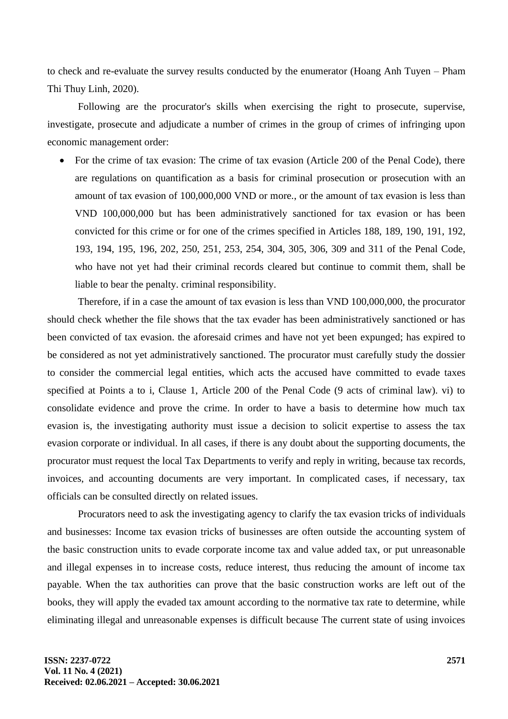to check and re-evaluate the survey results conducted by the enumerator (Hoang Anh Tuyen – Pham Thi Thuy Linh, 2020).

Following are the procurator's skills when exercising the right to prosecute, supervise, investigate, prosecute and adjudicate a number of crimes in the group of crimes of infringing upon economic management order:

• For the crime of tax evasion: The crime of tax evasion (Article 200 of the Penal Code), there are regulations on quantification as a basis for criminal prosecution or prosecution with an amount of tax evasion of 100,000,000 VND or more., or the amount of tax evasion is less than VND 100,000,000 but has been administratively sanctioned for tax evasion or has been convicted for this crime or for one of the crimes specified in Articles 188, 189, 190, 191, 192, 193, 194, 195, 196, 202, 250, 251, 253, 254, 304, 305, 306, 309 and 311 of the Penal Code, who have not yet had their criminal records cleared but continue to commit them, shall be liable to bear the penalty. criminal responsibility.

Therefore, if in a case the amount of tax evasion is less than VND 100,000,000, the procurator should check whether the file shows that the tax evader has been administratively sanctioned or has been convicted of tax evasion. the aforesaid crimes and have not yet been expunged; has expired to be considered as not yet administratively sanctioned. The procurator must carefully study the dossier to consider the commercial legal entities, which acts the accused have committed to evade taxes specified at Points a to i, Clause 1, Article 200 of the Penal Code (9 acts of criminal law). vi) to consolidate evidence and prove the crime. In order to have a basis to determine how much tax evasion is, the investigating authority must issue a decision to solicit expertise to assess the tax evasion corporate or individual. In all cases, if there is any doubt about the supporting documents, the procurator must request the local Tax Departments to verify and reply in writing, because tax records, invoices, and accounting documents are very important. In complicated cases, if necessary, tax officials can be consulted directly on related issues.

Procurators need to ask the investigating agency to clarify the tax evasion tricks of individuals and businesses: Income tax evasion tricks of businesses are often outside the accounting system of the basic construction units to evade corporate income tax and value added tax, or put unreasonable and illegal expenses in to increase costs, reduce interest, thus reducing the amount of income tax payable. When the tax authorities can prove that the basic construction works are left out of the books, they will apply the evaded tax amount according to the normative tax rate to determine, while eliminating illegal and unreasonable expenses is difficult because The current state of using invoices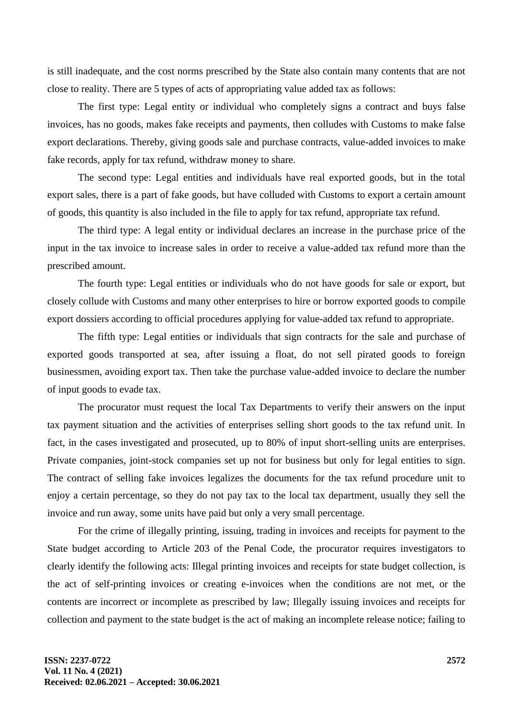is still inadequate, and the cost norms prescribed by the State also contain many contents that are not close to reality. There are 5 types of acts of appropriating value added tax as follows:

The first type: Legal entity or individual who completely signs a contract and buys false invoices, has no goods, makes fake receipts and payments, then colludes with Customs to make false export declarations. Thereby, giving goods sale and purchase contracts, value-added invoices to make fake records, apply for tax refund, withdraw money to share.

The second type: Legal entities and individuals have real exported goods, but in the total export sales, there is a part of fake goods, but have colluded with Customs to export a certain amount of goods, this quantity is also included in the file to apply for tax refund, appropriate tax refund.

The third type: A legal entity or individual declares an increase in the purchase price of the input in the tax invoice to increase sales in order to receive a value-added tax refund more than the prescribed amount.

The fourth type: Legal entities or individuals who do not have goods for sale or export, but closely collude with Customs and many other enterprises to hire or borrow exported goods to compile export dossiers according to official procedures applying for value-added tax refund to appropriate.

The fifth type: Legal entities or individuals that sign contracts for the sale and purchase of exported goods transported at sea, after issuing a float, do not sell pirated goods to foreign businessmen, avoiding export tax. Then take the purchase value-added invoice to declare the number of input goods to evade tax.

The procurator must request the local Tax Departments to verify their answers on the input tax payment situation and the activities of enterprises selling short goods to the tax refund unit. In fact, in the cases investigated and prosecuted, up to 80% of input short-selling units are enterprises. Private companies, joint-stock companies set up not for business but only for legal entities to sign. The contract of selling fake invoices legalizes the documents for the tax refund procedure unit to enjoy a certain percentage, so they do not pay tax to the local tax department, usually they sell the invoice and run away, some units have paid but only a very small percentage.

For the crime of illegally printing, issuing, trading in invoices and receipts for payment to the State budget according to Article 203 of the Penal Code, the procurator requires investigators to clearly identify the following acts: Illegal printing invoices and receipts for state budget collection, is the act of self-printing invoices or creating e-invoices when the conditions are not met, or the contents are incorrect or incomplete as prescribed by law; Illegally issuing invoices and receipts for collection and payment to the state budget is the act of making an incomplete release notice; failing to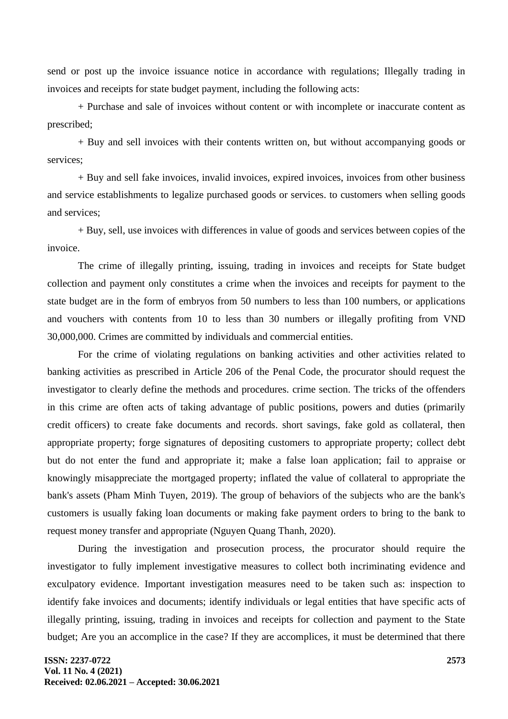send or post up the invoice issuance notice in accordance with regulations; Illegally trading in invoices and receipts for state budget payment, including the following acts:

+ Purchase and sale of invoices without content or with incomplete or inaccurate content as prescribed;

+ Buy and sell invoices with their contents written on, but without accompanying goods or services;

+ Buy and sell fake invoices, invalid invoices, expired invoices, invoices from other business and service establishments to legalize purchased goods or services. to customers when selling goods and services;

+ Buy, sell, use invoices with differences in value of goods and services between copies of the invoice.

The crime of illegally printing, issuing, trading in invoices and receipts for State budget collection and payment only constitutes a crime when the invoices and receipts for payment to the state budget are in the form of embryos from 50 numbers to less than 100 numbers, or applications and vouchers with contents from 10 to less than 30 numbers or illegally profiting from VND 30,000,000. Crimes are committed by individuals and commercial entities.

For the crime of violating regulations on banking activities and other activities related to banking activities as prescribed in Article 206 of the Penal Code, the procurator should request the investigator to clearly define the methods and procedures. crime section. The tricks of the offenders in this crime are often acts of taking advantage of public positions, powers and duties (primarily credit officers) to create fake documents and records. short savings, fake gold as collateral, then appropriate property; forge signatures of depositing customers to appropriate property; collect debt but do not enter the fund and appropriate it; make a false loan application; fail to appraise or knowingly misappreciate the mortgaged property; inflated the value of collateral to appropriate the bank's assets (Pham Minh Tuyen, 2019). The group of behaviors of the subjects who are the bank's customers is usually faking loan documents or making fake payment orders to bring to the bank to request money transfer and appropriate (Nguyen Quang Thanh, 2020).

During the investigation and prosecution process, the procurator should require the investigator to fully implement investigative measures to collect both incriminating evidence and exculpatory evidence. Important investigation measures need to be taken such as: inspection to identify fake invoices and documents; identify individuals or legal entities that have specific acts of illegally printing, issuing, trading in invoices and receipts for collection and payment to the State budget; Are you an accomplice in the case? If they are accomplices, it must be determined that there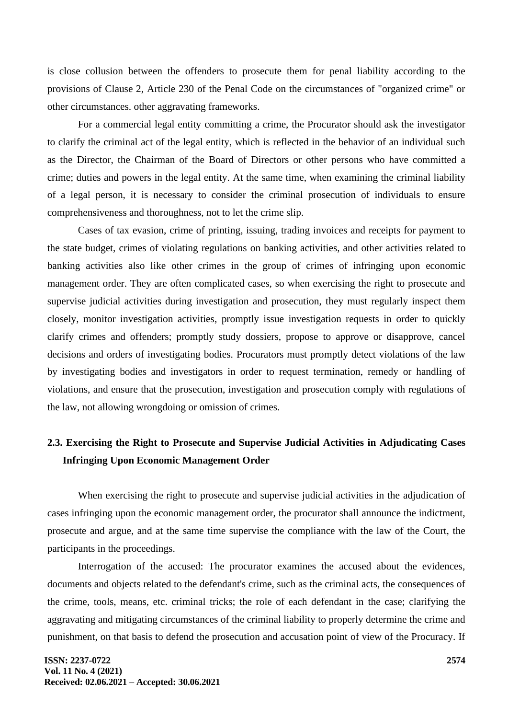is close collusion between the offenders to prosecute them for penal liability according to the provisions of Clause 2, Article 230 of the Penal Code on the circumstances of "organized crime" or other circumstances. other aggravating frameworks.

For a commercial legal entity committing a crime, the Procurator should ask the investigator to clarify the criminal act of the legal entity, which is reflected in the behavior of an individual such as the Director, the Chairman of the Board of Directors or other persons who have committed a crime; duties and powers in the legal entity. At the same time, when examining the criminal liability of a legal person, it is necessary to consider the criminal prosecution of individuals to ensure comprehensiveness and thoroughness, not to let the crime slip.

Cases of tax evasion, crime of printing, issuing, trading invoices and receipts for payment to the state budget, crimes of violating regulations on banking activities, and other activities related to banking activities also like other crimes in the group of crimes of infringing upon economic management order. They are often complicated cases, so when exercising the right to prosecute and supervise judicial activities during investigation and prosecution, they must regularly inspect them closely, monitor investigation activities, promptly issue investigation requests in order to quickly clarify crimes and offenders; promptly study dossiers, propose to approve or disapprove, cancel decisions and orders of investigating bodies. Procurators must promptly detect violations of the law by investigating bodies and investigators in order to request termination, remedy or handling of violations, and ensure that the prosecution, investigation and prosecution comply with regulations of the law, not allowing wrongdoing or omission of crimes.

# **2.3. Exercising the Right to Prosecute and Supervise Judicial Activities in Adjudicating Cases Infringing Upon Economic Management Order**

When exercising the right to prosecute and supervise judicial activities in the adjudication of cases infringing upon the economic management order, the procurator shall announce the indictment, prosecute and argue, and at the same time supervise the compliance with the law of the Court, the participants in the proceedings.

Interrogation of the accused: The procurator examines the accused about the evidences, documents and objects related to the defendant's crime, such as the criminal acts, the consequences of the crime, tools, means, etc. criminal tricks; the role of each defendant in the case; clarifying the aggravating and mitigating circumstances of the criminal liability to properly determine the crime and punishment, on that basis to defend the prosecution and accusation point of view of the Procuracy. If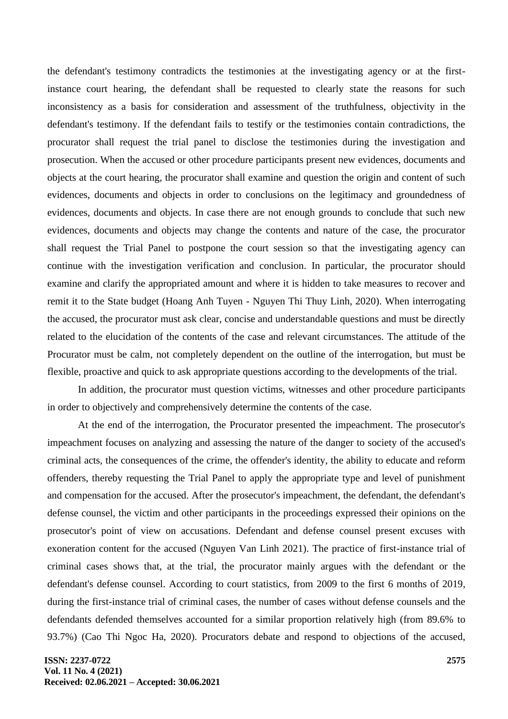the defendant's testimony contradicts the testimonies at the investigating agency or at the firstinstance court hearing, the defendant shall be requested to clearly state the reasons for such inconsistency as a basis for consideration and assessment of the truthfulness, objectivity in the defendant's testimony. If the defendant fails to testify or the testimonies contain contradictions, the procurator shall request the trial panel to disclose the testimonies during the investigation and prosecution. When the accused or other procedure participants present new evidences, documents and objects at the court hearing, the procurator shall examine and question the origin and content of such evidences, documents and objects in order to conclusions on the legitimacy and groundedness of evidences, documents and objects. In case there are not enough grounds to conclude that such new evidences, documents and objects may change the contents and nature of the case, the procurator shall request the Trial Panel to postpone the court session so that the investigating agency can continue with the investigation verification and conclusion. In particular, the procurator should examine and clarify the appropriated amount and where it is hidden to take measures to recover and remit it to the State budget (Hoang Anh Tuyen - Nguyen Thi Thuy Linh, 2020). When interrogating the accused, the procurator must ask clear, concise and understandable questions and must be directly related to the elucidation of the contents of the case and relevant circumstances. The attitude of the Procurator must be calm, not completely dependent on the outline of the interrogation, but must be flexible, proactive and quick to ask appropriate questions according to the developments of the trial.

In addition, the procurator must question victims, witnesses and other procedure participants in order to objectively and comprehensively determine the contents of the case.

At the end of the interrogation, the Procurator presented the impeachment. The prosecutor's impeachment focuses on analyzing and assessing the nature of the danger to society of the accused's criminal acts, the consequences of the crime, the offender's identity, the ability to educate and reform offenders, thereby requesting the Trial Panel to apply the appropriate type and level of punishment and compensation for the accused. After the prosecutor's impeachment, the defendant, the defendant's defense counsel, the victim and other participants in the proceedings expressed their opinions on the prosecutor's point of view on accusations. Defendant and defense counsel present excuses with exoneration content for the accused (Nguyen Van Linh 2021). The practice of first-instance trial of criminal cases shows that, at the trial, the procurator mainly argues with the defendant or the defendant's defense counsel. According to court statistics, from 2009 to the first 6 months of 2019, during the first-instance trial of criminal cases, the number of cases without defense counsels and the defendants defended themselves accounted for a similar proportion relatively high (from 89.6% to 93.7%) (Cao Thi Ngoc Ha, 2020). Procurators debate and respond to objections of the accused,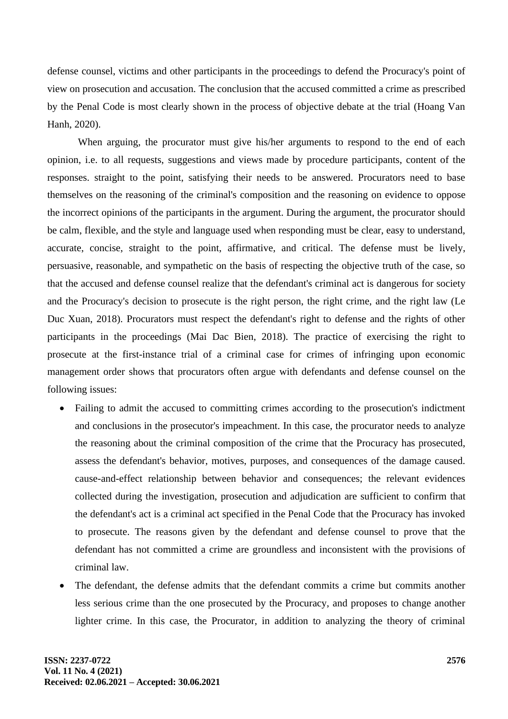defense counsel, victims and other participants in the proceedings to defend the Procuracy's point of view on prosecution and accusation. The conclusion that the accused committed a crime as prescribed by the Penal Code is most clearly shown in the process of objective debate at the trial (Hoang Van Hanh, 2020).

When arguing, the procurator must give his/her arguments to respond to the end of each opinion, i.e. to all requests, suggestions and views made by procedure participants, content of the responses. straight to the point, satisfying their needs to be answered. Procurators need to base themselves on the reasoning of the criminal's composition and the reasoning on evidence to oppose the incorrect opinions of the participants in the argument. During the argument, the procurator should be calm, flexible, and the style and language used when responding must be clear, easy to understand, accurate, concise, straight to the point, affirmative, and critical. The defense must be lively, persuasive, reasonable, and sympathetic on the basis of respecting the objective truth of the case, so that the accused and defense counsel realize that the defendant's criminal act is dangerous for society and the Procuracy's decision to prosecute is the right person, the right crime, and the right law (Le Duc Xuan, 2018). Procurators must respect the defendant's right to defense and the rights of other participants in the proceedings (Mai Dac Bien, 2018). The practice of exercising the right to prosecute at the first-instance trial of a criminal case for crimes of infringing upon economic management order shows that procurators often argue with defendants and defense counsel on the following issues:

- Failing to admit the accused to committing crimes according to the prosecution's indictment and conclusions in the prosecutor's impeachment. In this case, the procurator needs to analyze the reasoning about the criminal composition of the crime that the Procuracy has prosecuted, assess the defendant's behavior, motives, purposes, and consequences of the damage caused. cause-and-effect relationship between behavior and consequences; the relevant evidences collected during the investigation, prosecution and adjudication are sufficient to confirm that the defendant's act is a criminal act specified in the Penal Code that the Procuracy has invoked to prosecute. The reasons given by the defendant and defense counsel to prove that the defendant has not committed a crime are groundless and inconsistent with the provisions of criminal law.
- The defendant, the defense admits that the defendant commits a crime but commits another less serious crime than the one prosecuted by the Procuracy, and proposes to change another lighter crime. In this case, the Procurator, in addition to analyzing the theory of criminal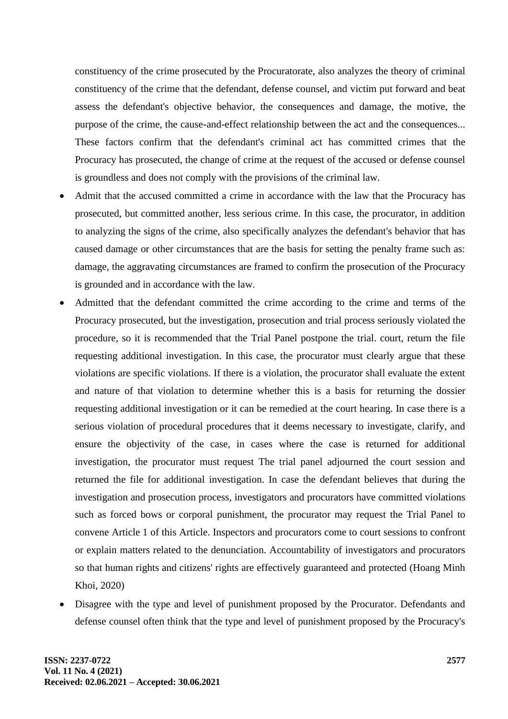constituency of the crime prosecuted by the Procuratorate, also analyzes the theory of criminal constituency of the crime that the defendant, defense counsel, and victim put forward and beat assess the defendant's objective behavior, the consequences and damage, the motive, the purpose of the crime, the cause-and-effect relationship between the act and the consequences... These factors confirm that the defendant's criminal act has committed crimes that the Procuracy has prosecuted, the change of crime at the request of the accused or defense counsel is groundless and does not comply with the provisions of the criminal law.

- Admit that the accused committed a crime in accordance with the law that the Procuracy has prosecuted, but committed another, less serious crime. In this case, the procurator, in addition to analyzing the signs of the crime, also specifically analyzes the defendant's behavior that has caused damage or other circumstances that are the basis for setting the penalty frame such as: damage, the aggravating circumstances are framed to confirm the prosecution of the Procuracy is grounded and in accordance with the law.
- Admitted that the defendant committed the crime according to the crime and terms of the Procuracy prosecuted, but the investigation, prosecution and trial process seriously violated the procedure, so it is recommended that the Trial Panel postpone the trial. court, return the file requesting additional investigation. In this case, the procurator must clearly argue that these violations are specific violations. If there is a violation, the procurator shall evaluate the extent and nature of that violation to determine whether this is a basis for returning the dossier requesting additional investigation or it can be remedied at the court hearing. In case there is a serious violation of procedural procedures that it deems necessary to investigate, clarify, and ensure the objectivity of the case, in cases where the case is returned for additional investigation, the procurator must request The trial panel adjourned the court session and returned the file for additional investigation. In case the defendant believes that during the investigation and prosecution process, investigators and procurators have committed violations such as forced bows or corporal punishment, the procurator may request the Trial Panel to convene Article 1 of this Article. Inspectors and procurators come to court sessions to confront or explain matters related to the denunciation. Accountability of investigators and procurators so that human rights and citizens' rights are effectively guaranteed and protected (Hoang Minh Khoi, 2020)
- Disagree with the type and level of punishment proposed by the Procurator. Defendants and defense counsel often think that the type and level of punishment proposed by the Procuracy's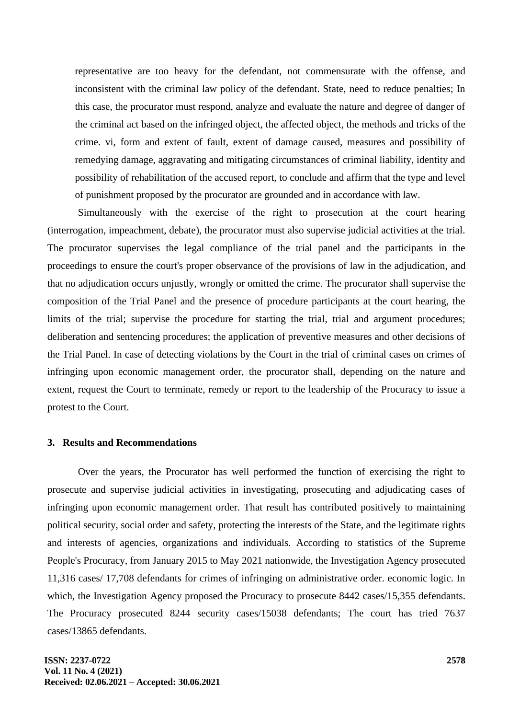representative are too heavy for the defendant, not commensurate with the offense, and inconsistent with the criminal law policy of the defendant. State, need to reduce penalties; In this case, the procurator must respond, analyze and evaluate the nature and degree of danger of the criminal act based on the infringed object, the affected object, the methods and tricks of the crime. vi, form and extent of fault, extent of damage caused, measures and possibility of remedying damage, aggravating and mitigating circumstances of criminal liability, identity and possibility of rehabilitation of the accused report, to conclude and affirm that the type and level of punishment proposed by the procurator are grounded and in accordance with law.

Simultaneously with the exercise of the right to prosecution at the court hearing (interrogation, impeachment, debate), the procurator must also supervise judicial activities at the trial. The procurator supervises the legal compliance of the trial panel and the participants in the proceedings to ensure the court's proper observance of the provisions of law in the adjudication, and that no adjudication occurs unjustly, wrongly or omitted the crime. The procurator shall supervise the composition of the Trial Panel and the presence of procedure participants at the court hearing, the limits of the trial; supervise the procedure for starting the trial, trial and argument procedures; deliberation and sentencing procedures; the application of preventive measures and other decisions of the Trial Panel. In case of detecting violations by the Court in the trial of criminal cases on crimes of infringing upon economic management order, the procurator shall, depending on the nature and extent, request the Court to terminate, remedy or report to the leadership of the Procuracy to issue a protest to the Court.

#### **3. Results and Recommendations**

Over the years, the Procurator has well performed the function of exercising the right to prosecute and supervise judicial activities in investigating, prosecuting and adjudicating cases of infringing upon economic management order. That result has contributed positively to maintaining political security, social order and safety, protecting the interests of the State, and the legitimate rights and interests of agencies, organizations and individuals. According to statistics of the Supreme People's Procuracy, from January 2015 to May 2021 nationwide, the Investigation Agency prosecuted 11,316 cases/ 17,708 defendants for crimes of infringing on administrative order. economic logic. In which, the Investigation Agency proposed the Procuracy to prosecute 8442 cases/15,355 defendants. The Procuracy prosecuted 8244 security cases/15038 defendants; The court has tried 7637 cases/13865 defendants.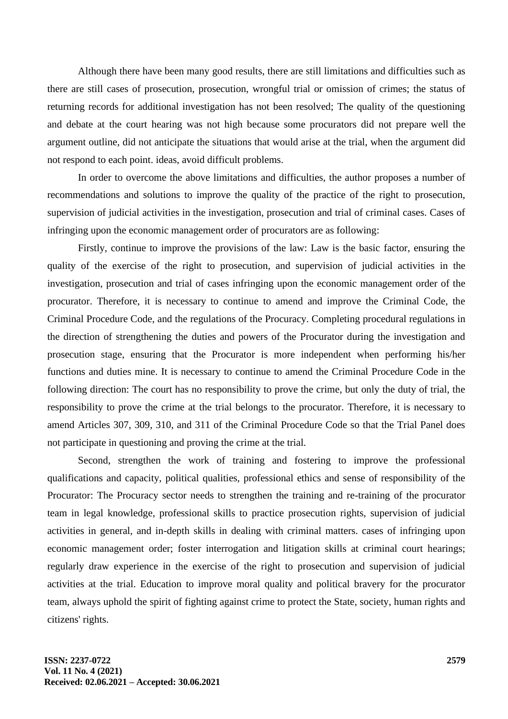Although there have been many good results, there are still limitations and difficulties such as there are still cases of prosecution, prosecution, wrongful trial or omission of crimes; the status of returning records for additional investigation has not been resolved; The quality of the questioning and debate at the court hearing was not high because some procurators did not prepare well the argument outline, did not anticipate the situations that would arise at the trial, when the argument did not respond to each point. ideas, avoid difficult problems.

In order to overcome the above limitations and difficulties, the author proposes a number of recommendations and solutions to improve the quality of the practice of the right to prosecution, supervision of judicial activities in the investigation, prosecution and trial of criminal cases. Cases of infringing upon the economic management order of procurators are as following:

Firstly, continue to improve the provisions of the law: Law is the basic factor, ensuring the quality of the exercise of the right to prosecution, and supervision of judicial activities in the investigation, prosecution and trial of cases infringing upon the economic management order of the procurator. Therefore, it is necessary to continue to amend and improve the Criminal Code, the Criminal Procedure Code, and the regulations of the Procuracy. Completing procedural regulations in the direction of strengthening the duties and powers of the Procurator during the investigation and prosecution stage, ensuring that the Procurator is more independent when performing his/her functions and duties mine. It is necessary to continue to amend the Criminal Procedure Code in the following direction: The court has no responsibility to prove the crime, but only the duty of trial, the responsibility to prove the crime at the trial belongs to the procurator. Therefore, it is necessary to amend Articles 307, 309, 310, and 311 of the Criminal Procedure Code so that the Trial Panel does not participate in questioning and proving the crime at the trial.

Second, strengthen the work of training and fostering to improve the professional qualifications and capacity, political qualities, professional ethics and sense of responsibility of the Procurator: The Procuracy sector needs to strengthen the training and re-training of the procurator team in legal knowledge, professional skills to practice prosecution rights, supervision of judicial activities in general, and in-depth skills in dealing with criminal matters. cases of infringing upon economic management order; foster interrogation and litigation skills at criminal court hearings; regularly draw experience in the exercise of the right to prosecution and supervision of judicial activities at the trial. Education to improve moral quality and political bravery for the procurator team, always uphold the spirit of fighting against crime to protect the State, society, human rights and citizens' rights.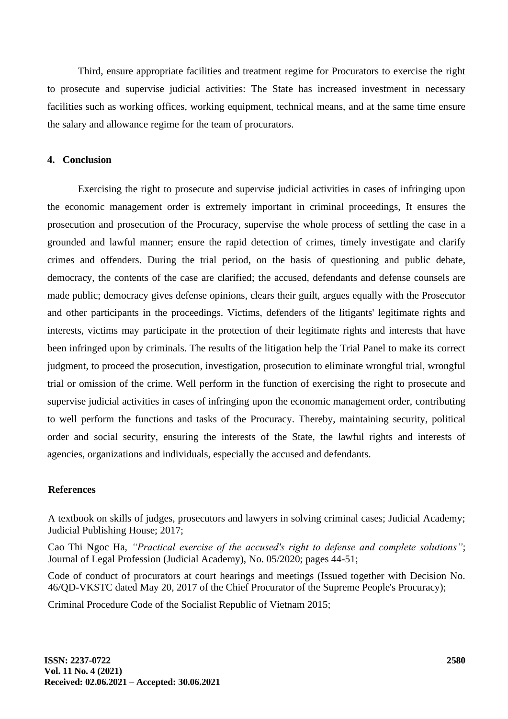Third, ensure appropriate facilities and treatment regime for Procurators to exercise the right to prosecute and supervise judicial activities: The State has increased investment in necessary facilities such as working offices, working equipment, technical means, and at the same time ensure the salary and allowance regime for the team of procurators.

### **4. Conclusion**

Exercising the right to prosecute and supervise judicial activities in cases of infringing upon the economic management order is extremely important in criminal proceedings, It ensures the prosecution and prosecution of the Procuracy, supervise the whole process of settling the case in a grounded and lawful manner; ensure the rapid detection of crimes, timely investigate and clarify crimes and offenders. During the trial period, on the basis of questioning and public debate, democracy, the contents of the case are clarified; the accused, defendants and defense counsels are made public; democracy gives defense opinions, clears their guilt, argues equally with the Prosecutor and other participants in the proceedings. Victims, defenders of the litigants' legitimate rights and interests, victims may participate in the protection of their legitimate rights and interests that have been infringed upon by criminals. The results of the litigation help the Trial Panel to make its correct judgment, to proceed the prosecution, investigation, prosecution to eliminate wrongful trial, wrongful trial or omission of the crime. Well perform in the function of exercising the right to prosecute and supervise judicial activities in cases of infringing upon the economic management order, contributing to well perform the functions and tasks of the Procuracy. Thereby, maintaining security, political order and social security, ensuring the interests of the State, the lawful rights and interests of agencies, organizations and individuals, especially the accused and defendants.

#### **References**

A textbook on skills of judges, prosecutors and lawyers in solving criminal cases; Judicial Academy; Judicial Publishing House; 2017;

Cao Thi Ngoc Ha, *"Practical exercise of the accused's right to defense and complete solutions"*; Journal of Legal Profession (Judicial Academy), No. 05/2020; pages 44-51;

Code of conduct of procurators at court hearings and meetings (Issued together with Decision No. 46/QD-VKSTC dated May 20, 2017 of the Chief Procurator of the Supreme People's Procuracy);

Criminal Procedure Code of the Socialist Republic of Vietnam 2015;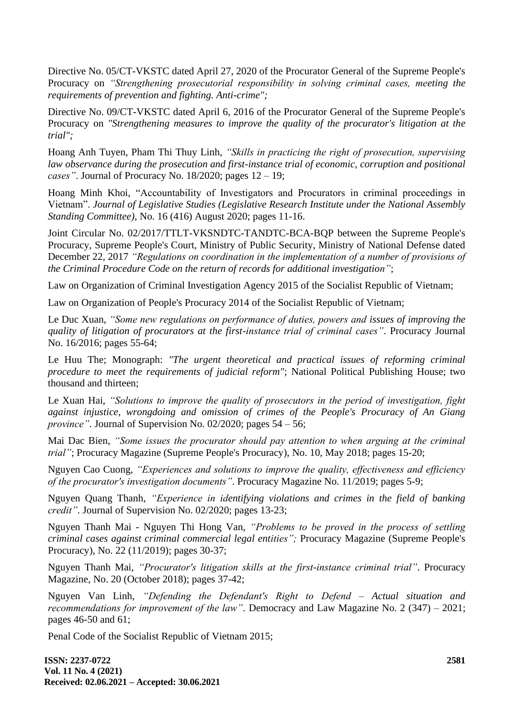Directive No. 05/CT-VKSTC dated April 27, 2020 of the Procurator General of the Supreme People's Procuracy on *"Strengthening prosecutorial responsibility in solving criminal cases, meeting the requirements of prevention and fighting. Anti-crime";*

Directive No. 09/CT-VKSTC dated April 6, 2016 of the Procurator General of the Supreme People's Procuracy on *"Strengthening measures to improve the quality of the procurator's litigation at the trial";*

Hoang Anh Tuyen, Pham Thi Thuy Linh, *"Skills in practicing the right of prosecution, supervising law observance during the prosecution and first-instance trial of economic, corruption and positional cases"*. Journal of Procuracy No. 18/2020; pages 12 – 19;

Hoang Minh Khoi, "Accountability of Investigators and Procurators in criminal proceedings in Vietnam". *Journal of Legislative Studies (Legislative Research Institute under the National Assembly Standing Committee),* No. 16 (416) August 2020; pages 11-16.

Joint Circular No. 02/2017/TTLT-VKSNDTC-TANDTC-BCA-BQP between the Supreme People's Procuracy, Supreme People's Court, Ministry of Public Security, Ministry of National Defense dated December 22, 2017 *"Regulations on coordination in the implementation of a number of provisions of the Criminal Procedure Code on the return of records for additional investigation"*;

Law on Organization of Criminal Investigation Agency 2015 of the Socialist Republic of Vietnam;

Law on Organization of People's Procuracy 2014 of the Socialist Republic of Vietnam;

Le Duc Xuan, *"Some new regulations on performance of duties, powers and issues of improving the quality of litigation of procurators at the first-instance trial of criminal cases"*. Procuracy Journal No. 16/2016; pages 55-64;

Le Huu The; Monograph: *"The urgent theoretical and practical issues of reforming criminal procedure to meet the requirements of judicial reform"*; National Political Publishing House; two thousand and thirteen;

Le Xuan Hai, *"Solutions to improve the quality of prosecutors in the period of investigation, fight against injustice, wrongdoing and omission of crimes of the People's Procuracy of An Giang province"*. Journal of Supervision No. 02/2020; pages 54 – 56;

Mai Dac Bien, *"Some issues the procurator should pay attention to when arguing at the criminal trial"*; Procuracy Magazine (Supreme People's Procuracy), No. 10, May 2018; pages 15-20;

Nguyen Cao Cuong, *"Experiences and solutions to improve the quality, effectiveness and efficiency of the procurator's investigation documents"*. Procuracy Magazine No. 11/2019; pages 5-9;

Nguyen Quang Thanh, *"Experience in identifying violations and crimes in the field of banking credit"*. Journal of Supervision No. 02/2020; pages 13-23;

Nguyen Thanh Mai - Nguyen Thi Hong Van, *"Problems to be proved in the process of settling criminal cases against criminal commercial legal entities";* Procuracy Magazine (Supreme People's Procuracy), No. 22 (11/2019); pages 30-37;

Nguyen Thanh Mai, *"Procurator's litigation skills at the first-instance criminal trial"*. Procuracy Magazine, No. 20 (October 2018); pages 37-42;

Nguyen Van Linh, *"Defending the Defendant's Right to Defend – Actual situation and recommendations for improvement of the law"*. Democracy and Law Magazine No. 2 (347) – 2021; pages 46-50 and 61;

Penal Code of the Socialist Republic of Vietnam 2015;

**ISSN: 2237-0722 Vol. 11 No. 4 (2021) Received: 02.06.2021 – Accepted: 30.06.2021**